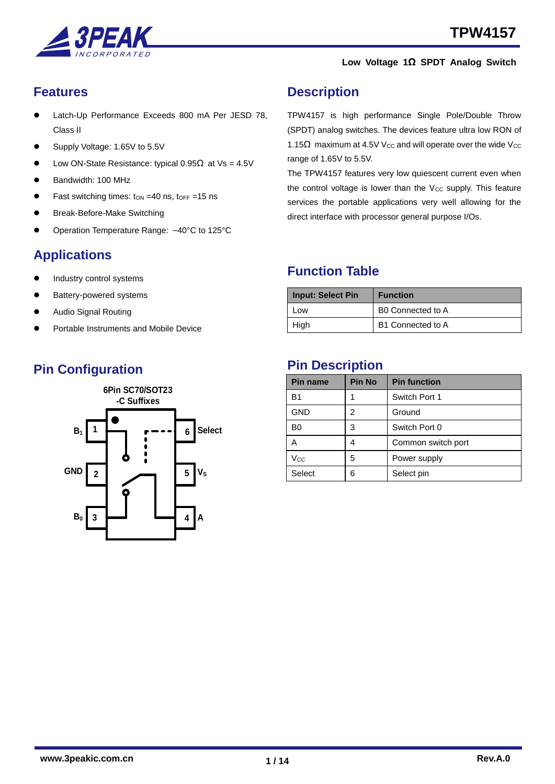



### <span id="page-0-0"></span>**Features**

- Latch-Up Performance Exceeds 800 mA Per JESD 78, Class II
- Supply Voltage: 1.65V to 5.5V
- Low ON-State Resistance: typical  $0.95\Omega$  at Vs = 4.5V
- Bandwidth: 100 MHz
- Fast switching times:  $\tan = 40$  ns,  $\tan = 15$  ns
- Break-Before-Make Switching
- Operation Temperature Range: –40°C to 125°C

## <span id="page-0-1"></span>**Applications**

- Industry control systems
- Battery-powered systems
- Audio Signal Routing
- Portable Instruments and Mobile Device

## **Pin Configuration**



### <span id="page-0-2"></span>**Description**

TPW4157 is high performance Single Pole/Double Throw (SPDT) analog switches. The devices feature ultra low RON of 1.15 $\Omega$  maximum at 4.5V V<sub>cc</sub> and will operate over the wide V<sub>cc</sub> range of 1.65V to 5.5V.

The TPW4157 features very low quiescent current even when the control voltage is lower than the  $V_{CC}$  supply. This feature services the portable applications very well allowing for the direct interface with processor general purpose I/Os.

### <span id="page-0-3"></span>**Function Table**

| <b>Input: Select Pin</b> | <b>Function</b>   |
|--------------------------|-------------------|
| Low                      | B0 Connected to A |
| High                     | B1 Connected to A |

#### <span id="page-0-4"></span>**Pin Description**

| <b>Pin name</b> | <b>Pin No</b> | <b>Pin function</b> |
|-----------------|---------------|---------------------|
| B1              |               | Switch Port 1       |
| <b>GND</b>      | 2             | Ground              |
| B0              | 3             | Switch Port 0       |
| А               | 4             | Common switch port  |
| Vcc             | 5             | Power supply        |
| Select          | 6             | Select pin          |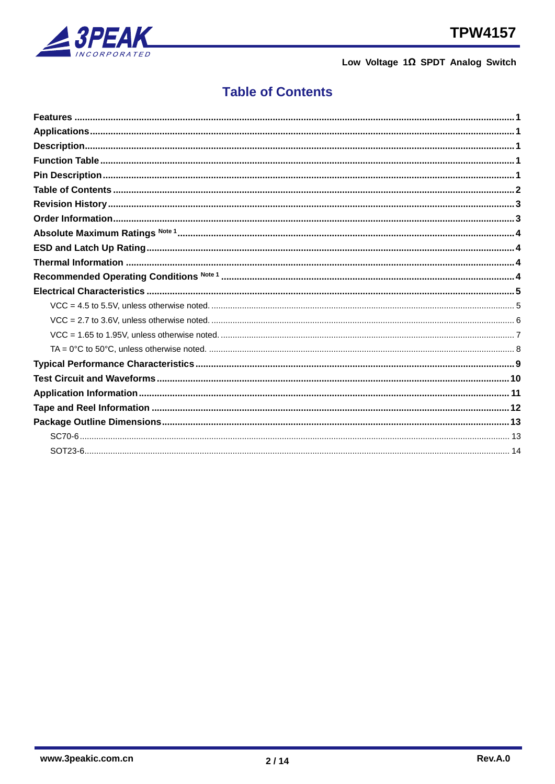

## <span id="page-1-0"></span>**Table of Contents**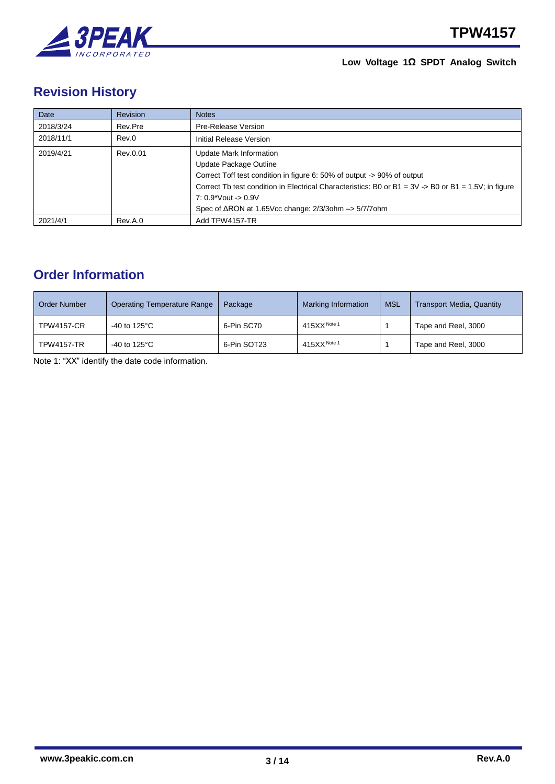

## <span id="page-2-0"></span>**Revision History**

| Date      | <b>Revision</b> | <b>Notes</b>                                                                                                       |
|-----------|-----------------|--------------------------------------------------------------------------------------------------------------------|
| 2018/3/24 | Rev.Pre         | Pre-Release Version                                                                                                |
| 2018/11/1 | Rev.0           | Initial Release Version                                                                                            |
| 2019/4/21 | Rev.0.01        | Update Mark Information                                                                                            |
|           |                 | Update Package Outline                                                                                             |
|           |                 | Correct Toff test condition in figure 6: 50% of output -> 90% of output                                            |
|           |                 | Correct Tb test condition in Electrical Characteristics: B0 or B1 = $3V \rightarrow B0$ or B1 = $1.5V$ ; in figure |
|           |                 | $7:0.9*V$ out -> 0.9V                                                                                              |
|           |                 | Spec of $\triangle$ RON at 1.65Vcc change: $2/3/3$ ohm $\rightarrow$ 5/7/70hm                                      |
| 2021/4/1  | Rev.A.0         | Add TPW4157-TR                                                                                                     |

## <span id="page-2-1"></span>**Order Information**

| <b>Order Number</b> | Operating Temperature Range | Package     | <b>Marking Information</b> |  | <b>Transport Media, Quantity</b> |
|---------------------|-----------------------------|-------------|----------------------------|--|----------------------------------|
| <b>TPW4157-CR</b>   | -40 to 125°C                | 6-Pin SC70  | $415XX$ Note 1             |  | Tape and Reel, 3000              |
| <b>TPW4157-TR</b>   | -40 to 125 $^{\circ}$ C     | 6-Pin SOT23 | $415XX$ Note 1             |  | Tape and Reel, 3000              |

Note 1: "XX" identify the date code information.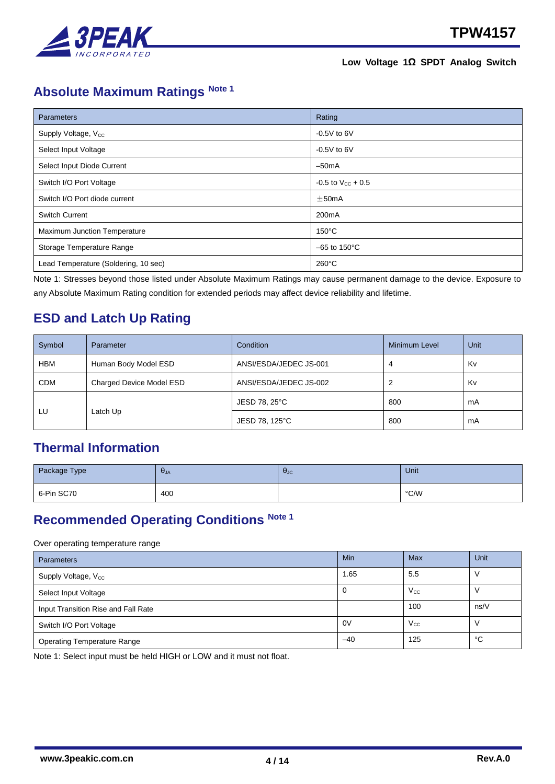

# <span id="page-3-0"></span>**Absolute Maximum Ratings Note 1**

| Parameters                           | Rating                    |
|--------------------------------------|---------------------------|
| Supply Voltage, V <sub>cc</sub>      | $-0.5V$ to 6V             |
| Select Input Voltage                 | $-0.5V$ to 6V             |
| Select Input Diode Current           | $-50mA$                   |
| Switch I/O Port Voltage              | $-0.5$ to $V_{CC}$ + 0.5  |
| Switch I/O Port diode current        | $\pm$ 50mA                |
| <b>Switch Current</b>                | 200 <sub>m</sub> A        |
| Maximum Junction Temperature         | $150^{\circ}$ C           |
| Storage Temperature Range            | $-65$ to 150 $^{\circ}$ C |
| Lead Temperature (Soldering, 10 sec) | $260^{\circ}$ C           |

Note 1: Stresses beyond those listed under Absolute Maximum Ratings may cause permanent damage to the device. Exposure to any Absolute Maximum Rating condition for extended periods may affect device reliability and lifetime.

## <span id="page-3-1"></span>**ESD and Latch Up Rating**

| Symbol     | Parameter                | Condition              | <b>Minimum Level</b> | Unit |
|------------|--------------------------|------------------------|----------------------|------|
| <b>HBM</b> | Human Body Model ESD     | ANSI/ESDA/JEDEC JS-001 | 4                    |      |
| <b>CDM</b> | Charged Device Model ESD | ANSI/ESDA/JEDEC JS-002 |                      | Kv   |
|            |                          | JESD 78, 25°C          | 800                  | mA   |
| LU         | Latch Up                 | JESD 78, 125°C         | 800                  | mA   |

### <span id="page-3-2"></span>**Thermal Information**

| Package Type | $\sigma_{JA}$ | $\theta_{\text{JC}}$ | Unit |
|--------------|---------------|----------------------|------|
| 6-Pin SC70   | 400           |                      | °C/W |

## <span id="page-3-3"></span>**Recommended Operating Conditions Note 1**

#### Over operating temperature range

| <b>Parameters</b>                   | Min   | Max          | Unit |
|-------------------------------------|-------|--------------|------|
| Supply Voltage, V <sub>cc</sub>     | 1.65  | 5.5          |      |
| Select Input Voltage                | 0     | $V_{\rm CC}$ |      |
| Input Transition Rise and Fall Rate |       | 100          | ns/V |
| Switch I/O Port Voltage             | 0V    | $V_{\rm CC}$ | V    |
| <b>Operating Temperature Range</b>  | $-40$ | 125          | °C   |

Note 1: Select input must be held HIGH or LOW and it must not float.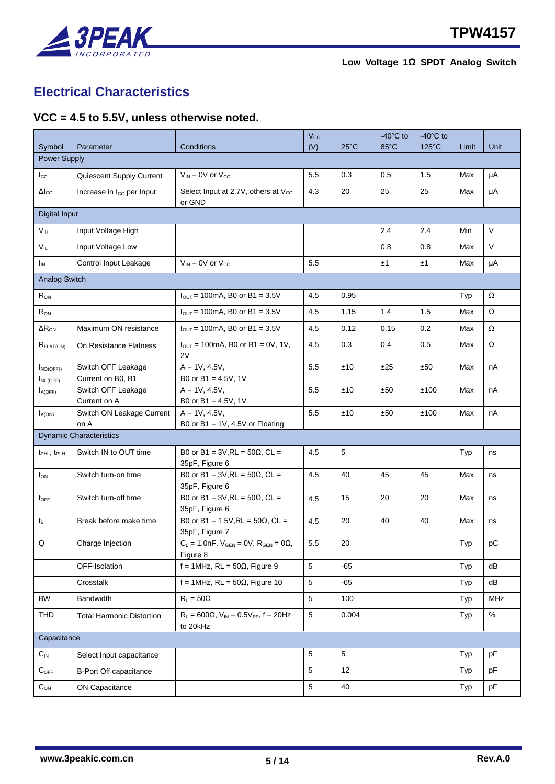

## <span id="page-4-0"></span>**Electrical Characteristics**

#### <span id="page-4-1"></span>**VCC = 4.5 to 5.5V, unless otherwise noted.**

| Symbol                              | Parameter                               | Conditions                                                         | $V_{\rm CC}$<br>(V) | $25^{\circ}$ C  | $-40^{\circ}$ C to<br>$85^{\circ}$ C | $-40^{\circ}$ C to<br>125°C | Limit | Unit   |
|-------------------------------------|-----------------------------------------|--------------------------------------------------------------------|---------------------|-----------------|--------------------------------------|-----------------------------|-------|--------|
| Power Supply                        |                                         |                                                                    |                     |                 |                                      |                             |       |        |
| $I_{\rm CC}$                        | Quiescent Supply Current                | $V_{IN}$ = 0V or $V_{CC}$                                          | 5.5                 | 0.3             | 0.5                                  | 1.5                         | Max   | μA     |
| $\Delta I_{\rm CC}$                 | Increase in I <sub>cc</sub> per Input   | Select Input at 2.7V, others at V <sub>cc</sub>                    | 4.3                 | 20              | 25                                   | 25                          | Max   | μA     |
|                                     |                                         | or GND                                                             |                     |                 |                                      |                             |       |        |
| <b>Digital Input</b>                |                                         |                                                                    |                     |                 |                                      |                             |       |        |
| V <sub>IH</sub>                     | Input Voltage High                      |                                                                    |                     |                 | 2.4                                  | 2.4                         | Min   | $\vee$ |
| $V_{IL}$                            | Input Voltage Low                       |                                                                    |                     |                 | 0.8                                  | 0.8                         | Max   | $\vee$ |
| $I_{IN}$                            | Control Input Leakage                   | $V_{IN}$ = 0V or $V_{CC}$                                          | 5.5                 |                 | ±1                                   | ±1                          | Max   | μA     |
| <b>Analog Switch</b>                |                                         |                                                                    |                     |                 |                                      |                             |       |        |
| $R_{ON}$                            |                                         | $I_{\text{OUT}}$ = 100mA, B0 or B1 = 3.5V                          | 4.5                 | 0.95            |                                      |                             | Typ   | Ω      |
| $R_{ON}$                            |                                         | $I_{\text{OUT}}$ = 100mA, B0 or B1 = 3.5V                          | 4.5                 | 1.15            | 1.4                                  | 1.5                         | Max   | Ω      |
| $\Delta R_{ON}$                     | Maximum ON resistance                   | $I_{\text{OUT}}$ = 100mA, B0 or B1 = 3.5V                          | 4.5                 | 0.12            | 0.15                                 | 0.2                         | Max   | Ω      |
| R <sub>FLAT(ON)</sub>               | On Resistance Flatness                  | $I_{OUT} = 100mA$ , B0 or B1 = 0V, 1V,                             | 4.5                 | 0.3             | 0.4                                  | 0.5                         | Max   | Ω      |
|                                     |                                         | 2V                                                                 |                     |                 |                                      |                             |       |        |
| $I_{NO(OFF)}$                       | Switch OFF Leakage                      | $A = 1V, 4.5V,$                                                    | 5.5                 | ±10             | ±25                                  | ±50                         | Max   | nA     |
| $I_{NC(OFF)}$<br>$I_{A(OFF)}$       | Current on B0, B1<br>Switch OFF Leakage | B0 or B1 = $4.5V$ , 1V<br>$A = 1V, 4.5V,$                          | 5.5                 | ±10             | ±50                                  | ±100                        | Max   | nA     |
|                                     | Current on A                            | B0 or B1 = $4.5V$ , 1V                                             |                     |                 |                                      |                             |       |        |
| $I_{A(ON)}$                         | Switch ON Leakage Current               | $A = 1V, 4.5V,$                                                    | 5.5                 | ±10             | ±50                                  | ±100                        | Max   | nA     |
|                                     | on A<br><b>Dynamic Characteristics</b>  | B0 or B1 = $1V$ , 4.5V or Floating                                 |                     |                 |                                      |                             |       |        |
| t <sub>PHL</sub> , t <sub>PLH</sub> | Switch IN to OUT time                   | B0 or B1 = 3V, RL = $50Ω$ , CL =                                   | 4.5                 | 5               |                                      |                             | Typ   | ns     |
|                                     |                                         | 35pF, Figure 6                                                     |                     |                 |                                      |                             |       |        |
| $t_{ON}$                            | Switch turn-on time                     | B0 or B1 = 3V, RL = $50Ω$ , CL =<br>35pF, Figure 6                 | 4.5                 | 40              | 45                                   | 45                          | Max   | ns     |
| $t_{\text{OFF}}$                    | Switch turn-off time                    | B0 or B1 = 3V, RL = $50Ω$ , CL =<br>35pF, Figure 6                 | 4.5                 | 15              | 20                                   | 20                          | Max   | ns     |
| t <sub>B</sub>                      | Break before make time                  | B0 or B1 = 1.5V, RL = 50Ω, CL =<br>35pF, Figure 7                  | 4.5                 | 20              | 40                                   | 40                          | Max   | ns     |
| Q                                   | Charge Injection                        | $C_L = 1.0nF$ , $V_{GEN} = 0V$ , $R_{GEN} = 0\Omega$ ,<br>Figure 8 | $5.5\,$             | 20              |                                      |                             | Typ   | рC     |
|                                     | OFF-Isolation                           | $f = 1$ MHz, RL = 50 $\Omega$ , Figure 9                           | 5                   | $-65$           |                                      |                             | Typ   | dB     |
|                                     | Crosstalk                               | f = 1MHz, RL = $50\Omega$ , Figure 10                              | 5                   | -65             |                                      |                             | Typ   | dB     |
| BW                                  | <b>Bandwidth</b>                        | $R_L = 50\Omega$                                                   | $5\,$               | 100             |                                      |                             | Typ   | MHz    |
| <b>THD</b>                          | <b>Total Harmonic Distortion</b>        | $R_L = 600\Omega$ , $V_{IN} = 0.5V_{PP}$ , $f = 20Hz$<br>to 20kHz  | $\,$ 5 $\,$         | 0.004           |                                      |                             | Typ   | $\%$   |
| Capacitance                         |                                         |                                                                    |                     |                 |                                      |                             |       |        |
| $C_{\text{IN}}$                     | Select Input capacitance                |                                                                    | 5                   | $5\phantom{.0}$ |                                      |                             | Typ   | pF     |
| $C_{\text{OFF}}$                    | <b>B-Port Off capacitance</b>           |                                                                    | $\mathbf 5$         | 12              |                                      |                             | Typ   | pF     |
| $C_{ON}$                            | <b>ON Capacitance</b>                   |                                                                    | 5                   | 40              |                                      |                             | Typ   | pF     |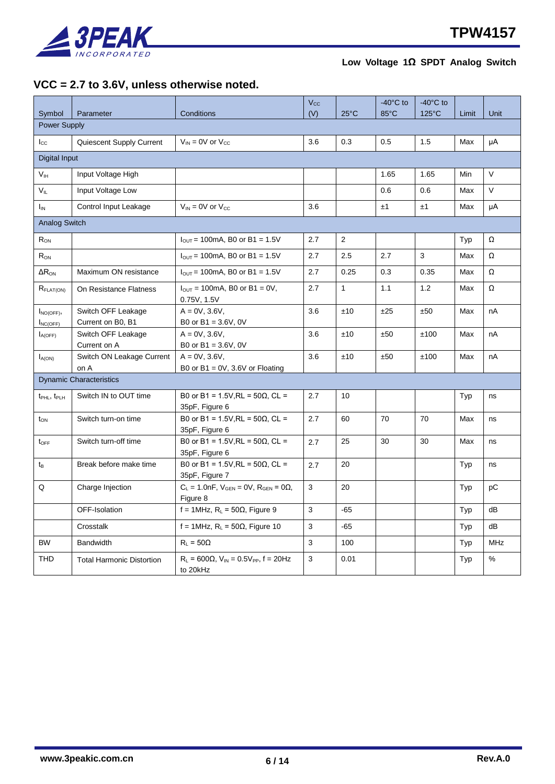

#### <span id="page-5-0"></span>**VCC = 2.7 to 3.6V, unless otherwise noted.**

|                                     |                                         |                                                                         | $V_{\rm CC}$ |                | $-40^{\circ}$ C to | $-40^{\circ}$ C to |       |            |
|-------------------------------------|-----------------------------------------|-------------------------------------------------------------------------|--------------|----------------|--------------------|--------------------|-------|------------|
| Symbol                              | Parameter                               | Conditions                                                              | (V)          | $25^{\circ}$ C | 85°C               | 125°C              | Limit | Unit       |
| <b>Power Supply</b>                 |                                         |                                                                         |              |                |                    |                    |       |            |
| $I_{\rm CC}$                        | Quiescent Supply Current                | $V_{IN}$ = 0V or $V_{CC}$                                               | 3.6          | 0.3            | 0.5                | 1.5                | Max   | μA         |
| <b>Digital Input</b>                |                                         |                                                                         |              |                |                    |                    |       |            |
| V <sub>IH</sub>                     | Input Voltage High                      |                                                                         |              |                | 1.65               | 1.65               | Min   | V          |
| $V_{IL}$                            | Input Voltage Low                       |                                                                         |              |                | 0.6                | 0.6                | Max   | V          |
| $I_{IN}$                            | Control Input Leakage                   | $V_{IN}$ = 0V or $V_{CC}$                                               | 3.6          |                | ±1                 | ±1                 | Max   | μA         |
| <b>Analog Switch</b>                |                                         |                                                                         |              |                |                    |                    |       |            |
| $R_{ON}$                            |                                         | $I_{\text{OUT}}$ = 100mA, B0 or B1 = 1.5V                               | 2.7          | $\mathbf{2}$   |                    |                    | Typ   | Ω          |
| $R_{ON}$                            |                                         | $I_{\text{OUT}}$ = 100mA, B0 or B1 = 1.5V                               | 2.7          | 2.5            | 2.7                | 3                  | Max   | Ω          |
| $\Delta R_{ON}$                     | Maximum ON resistance                   | $I_{\text{OUT}}$ = 100mA, B0 or B1 = 1.5V                               | 2.7          | 0.25           | 0.3                | 0.35               | Max   | Ω          |
| R <sub>FLAT(ON)</sub>               | On Resistance Flatness                  | $I_{\text{OUT}} = 100 \text{mA}$ , B0 or B1 = 0V,<br>0.75V, 1.5V        | 2.7          | $\mathbf{1}$   | 1.1                | 1.2                | Max   | Ω          |
| $I_{NO(OFF)}$<br>$I_{NC(OFF)}$      | Switch OFF Leakage<br>Current on B0, B1 | $A = 0V, 3.6V,$<br>B0 or $B1 = 3.6V$ , 0V                               | 3.6          | ±10            | ±25                | ±50                | Max   | nA         |
| $I_{A(OFF)}$                        | Switch OFF Leakage<br>Current on A      | $A = 0V$ , 3.6V,<br>B0 or $B1 = 3.6V$ , 0V                              | 3.6          | ±10            | ±50                | ±100               | Max   | nA         |
| $I_{A(ON)}$                         | Switch ON Leakage Current<br>on A       | $A = 0V$ , 3.6V,<br>B0 or B1 = $0V$ , 3.6V or Floating                  | 3.6          | ±10            | ±50                | ±100               | Max   | nA         |
|                                     | <b>Dynamic Characteristics</b>          |                                                                         |              |                |                    |                    |       |            |
| t <sub>PHL</sub> , t <sub>PLH</sub> | Switch IN to OUT time                   | B0 or B1 = 1.5V, RL = 50Ω, CL =<br>35pF, Figure 6                       | 2.7          | 10             |                    |                    | Typ   | ns         |
| $t_{ON}$                            | Switch turn-on time                     | B0 or B1 = 1.5V, RL = 50Ω, CL =<br>35pF, Figure 6                       | 2.7          | 60             | 70                 | 70                 | Max   | ns         |
| $t_{\text{OFF}}$                    | Switch turn-off time                    | B0 or B1 = 1.5V, RL = 50Ω, CL =<br>35pF, Figure 6                       | 2.7          | 25             | $30\,$             | 30                 | Max   | ns         |
| t <sub>B</sub>                      | Break before make time                  | B0 or B1 = 1.5V, RL = 50Ω, CL =<br>35pF, Figure 7                       | 2.7          | 20             |                    |                    | Typ   | ns         |
| Q                                   | Charge Injection                        | $C_L = 1.0$ nF, $V_{GEN} = 0V$ , $R_{GEN} = 0\Omega$ ,<br>Figure 8      | $\sqrt{3}$   | 20             |                    |                    | Typ   | рC         |
|                                     | OFF-Isolation                           | f = 1MHz, $R_L$ = 50 $\Omega$ , Figure 9                                | 3            | $-65$          |                    |                    | Typ   | dB         |
|                                     | Crosstalk                               | f = 1MHz, $R_L$ = 50 $\Omega$ , Figure 10                               | 3            | -65            |                    |                    | Typ   | dB         |
| <b>BW</b>                           | <b>Bandwidth</b>                        | $R_L = 50\Omega$                                                        | 3            | 100            |                    |                    | Typ   | <b>MHz</b> |
| <b>THD</b>                          | <b>Total Harmonic Distortion</b>        | $R_{L}$ = 600 $\Omega$ , $V_{IN}$ = 0.5 $V_{PP}$ , f = 20Hz<br>to 20kHz | 3            | 0.01           |                    |                    | Typ   | %          |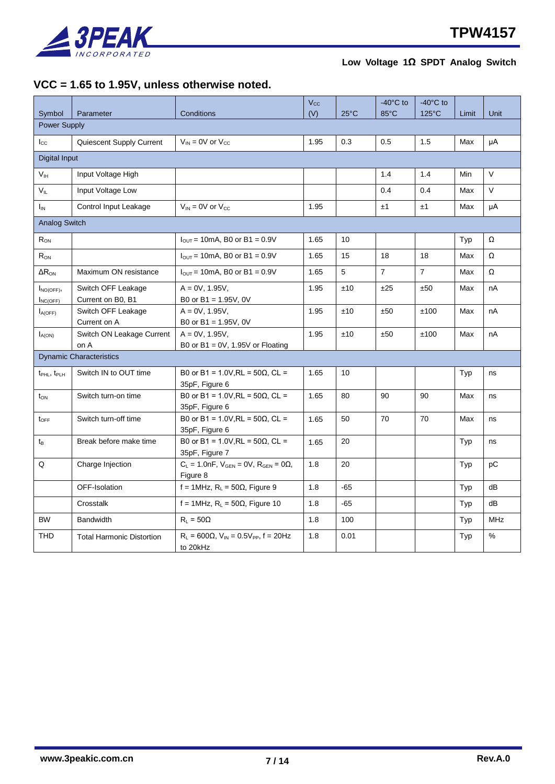

#### <span id="page-6-0"></span>**VCC = 1.65 to 1.95V, unless otherwise noted.**

|                                     |                                         |                                                                       | $V_{\rm CC}$ |                | $-40^{\circ}$ C to | $-40^{\circ}$ C to |       |            |
|-------------------------------------|-----------------------------------------|-----------------------------------------------------------------------|--------------|----------------|--------------------|--------------------|-------|------------|
| Symbol                              | Parameter                               | Conditions                                                            | (V)          | $25^{\circ}$ C | 85°C               | 125°C              | Limit | Unit       |
| Power Supply                        |                                         |                                                                       |              |                |                    |                    |       |            |
| $I_{\rm CC}$                        | Quiescent Supply Current                | $V_{IN}$ = 0V or $V_{CC}$                                             | 1.95         | 0.3            | 0.5                | 1.5                | Max   | μA         |
| Digital Input                       |                                         |                                                                       |              |                |                    |                    |       |            |
| V <sub>IH</sub>                     | Input Voltage High                      |                                                                       |              |                | 1.4                | 1.4                | Min   | $\vee$     |
| $V_{IL}$                            | Input Voltage Low                       |                                                                       |              |                | 0.4                | 0.4                | Max   | V          |
| $I_{\text{IN}}$                     | Control Input Leakage                   | $V_{IN}$ = 0V or $V_{CC}$                                             | 1.95         |                | ±1                 | ±1                 | Max   | μA         |
| <b>Analog Switch</b>                |                                         |                                                                       |              |                |                    |                    |       |            |
| $R_{ON}$                            |                                         | $I_{\text{OUT}}$ = 10mA, B0 or B1 = 0.9V                              | 1.65         | 10             |                    |                    | Typ   | Ω          |
| $R_{ON}$                            |                                         | $I_{\text{OUT}}$ = 10mA, B0 or B1 = 0.9V                              | 1.65         | 15             | 18                 | 18                 | Max   | Ω          |
| $\Delta R_{ON}$                     | Maximum ON resistance                   | $I_{\text{OUT}}$ = 10mA, B0 or B1 = 0.9V                              | 1.65         | 5              | $\overline{7}$     | $\overline{7}$     | Max   | Ω          |
| $I_{NO(OFF)}$<br>$I_{NC(OFF)}$      | Switch OFF Leakage<br>Current on B0, B1 | $A = 0V$ , 1.95V,<br>B0 or $B1 = 1.95V$ , 0V                          | 1.95         | ±10            | ±25                | ±50                | Max   | nA         |
| $I_{A(OFF)}$                        | Switch OFF Leakage<br>Current on A      | $A = 0V$ , 1.95V,<br>B0 or B1 = 1.95V, 0V                             | 1.95         | ±10            | ±50                | ±100               | Max   | nA         |
| $I_{A(ON)}$                         | Switch ON Leakage Current<br>on A       | $A = 0V$ , 1.95V,<br>B0 or B1 = $0V$ , 1.95V or Floating              | 1.95         | ±10            | ±50                | ±100               | Max   | nA         |
|                                     | <b>Dynamic Characteristics</b>          |                                                                       |              |                |                    |                    |       |            |
| $t_{\text{PHL}}$ , $t_{\text{PLH}}$ | Switch IN to OUT time                   | B0 or B1 = 1.0V, RL = 50Ω, CL =<br>35pF, Figure 6                     | 1.65         | 10             |                    |                    | Typ   | ns         |
| $t_{ON}$                            | Switch turn-on time                     | B0 or B1 = 1.0V, RL = 50Ω, CL =<br>35pF, Figure 6                     | 1.65         | 80             | 90                 | 90                 | Max   | ns         |
| $t_{\text{OFF}}$                    | Switch turn-off time                    | B0 or B1 = 1.0V, RL = 50Ω, CL =<br>35pF, Figure 6                     | 1.65         | 50             | 70                 | 70                 | Max   | ns         |
| tв                                  | Break before make time                  | B0 or B1 = 1.0V, RL = 50Ω, CL =<br>35pF, Figure 7                     | 1.65         | 20             |                    |                    | Typ   | ns         |
| Q                                   | Charge Injection                        | $C_L = 1.0nF$ , $V_{GEN} = 0V$ , $R_{GEN} = 0\Omega$ ,<br>Figure 8    | 1.8          | 20             |                    |                    | Typ   | рC         |
|                                     | OFF-Isolation                           | $f = 1$ MHz, R <sub>L</sub> = 50 $\Omega$ , Figure 9                  | 1.8          | $-65$          |                    |                    | Typ   | dB         |
|                                     | Crosstalk                               | $f = 1$ MHz, R <sub>L</sub> = 50 $\Omega$ , Figure 10                 | 1.8          | $-65$          |                    |                    | Typ   | dB         |
| <b>BW</b>                           | <b>Bandwidth</b>                        | $R_L = 50\Omega$                                                      | 1.8          | 100            |                    |                    | Typ   | <b>MHz</b> |
| <b>THD</b>                          | <b>Total Harmonic Distortion</b>        | $R_L$ = 600 $\Omega$ , $V_{IN}$ = 0.5 $V_{PP}$ , f = 20Hz<br>to 20kHz | 1.8          | 0.01           |                    |                    | Typ   | %          |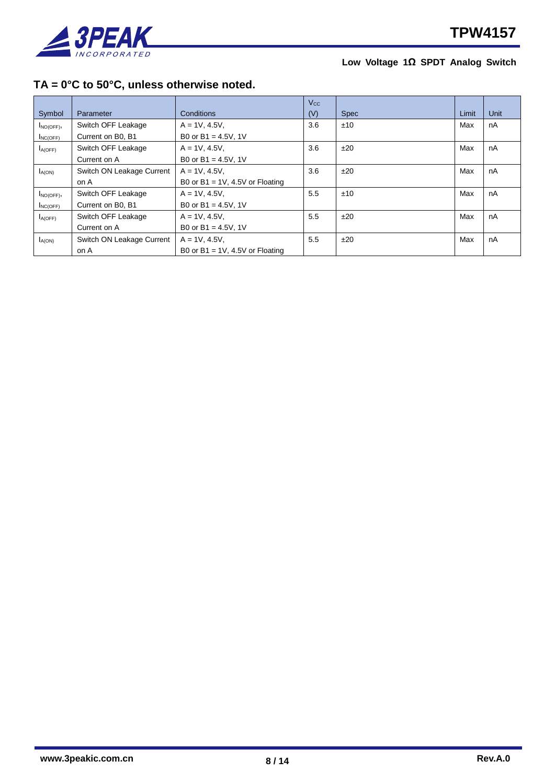

### <span id="page-7-0"></span>**TA = 0°C to 50°C, unless otherwise noted.**

|               |                           |                                    | $V_{\rm CC}$ |             |       |             |
|---------------|---------------------------|------------------------------------|--------------|-------------|-------|-------------|
| Symbol        | Parameter                 | Conditions                         | (V)          | <b>Spec</b> | Limit | <b>Unit</b> |
| $I_{NO(OFF)}$ | Switch OFF Leakage        | $A = 1V, 4.5V,$                    | 3.6          | ±10         | Max   | nA          |
| $I_{NC(OFF)}$ | Current on B0, B1         | B0 or B1 = $4.5V$ , 1V             |              |             |       |             |
| $I_{A(OFF)}$  | Switch OFF Leakage        | $A = 1V, 4.5V,$                    | 3.6          | ±20         | Max   | nA          |
|               | Current on A              | B0 or B1 = $4.5V$ , 1V             |              |             |       |             |
| $I_{A(ON)}$   | Switch ON Leakage Current | $A = 1V, 4.5V,$                    | 3.6          | ±20         | Max   | nA          |
|               | on A                      | B0 or B1 = $1V$ , 4.5V or Floating |              |             |       |             |
| $I_{NO(OFF)}$ | Switch OFF Leakage        | $A = 1V, 4.5V,$                    | 5.5          | ±10         | Max   | nA          |
| $I_{NC(OFF)}$ | Current on B0, B1         | B0 or B1 = $4.5V$ , 1V             |              |             |       |             |
| $I_{A(OFF)}$  | Switch OFF Leakage        | $A = 1V, 4.5V,$                    | 5.5          | ±20         | Max   | nA          |
|               | Current on A              | B0 or B1 = $4.5V$ , 1V             |              |             |       |             |
| $I_{A(ON)}$   | Switch ON Leakage Current | $A = 1V, 4.5V,$                    | 5.5          | ±20         | Max   | nA          |
|               | on A                      | B0 or $B1 = 1V$ . 4.5V or Floating |              |             |       |             |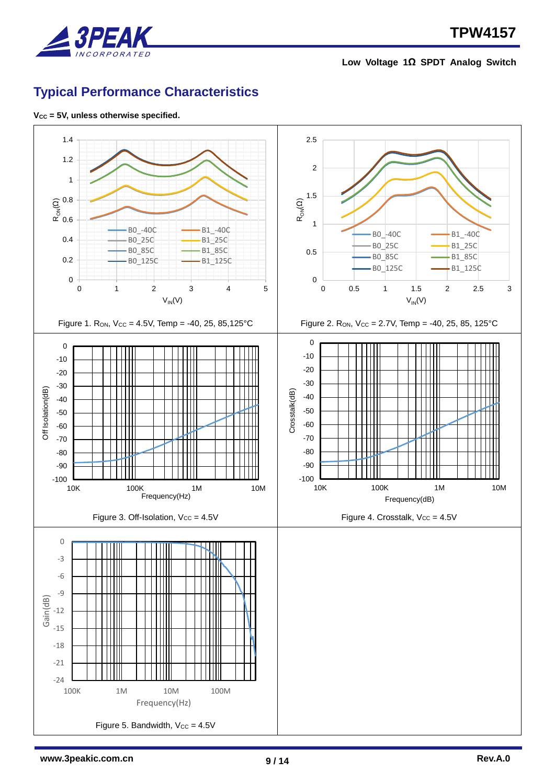

# <span id="page-8-0"></span>**Typical Performance Characteristics**

**VCC = 5V, unless otherwise specified.**

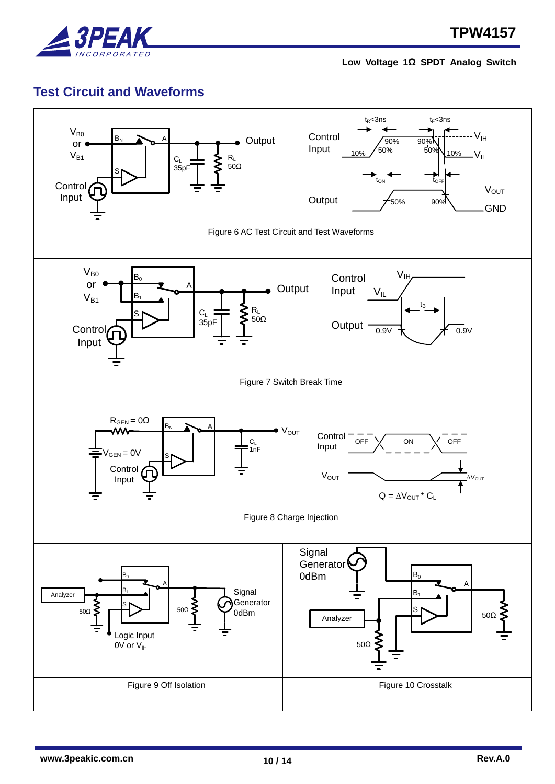

## <span id="page-9-0"></span>**Test Circuit and Waveforms**

<span id="page-9-5"></span><span id="page-9-4"></span><span id="page-9-3"></span><span id="page-9-2"></span><span id="page-9-1"></span>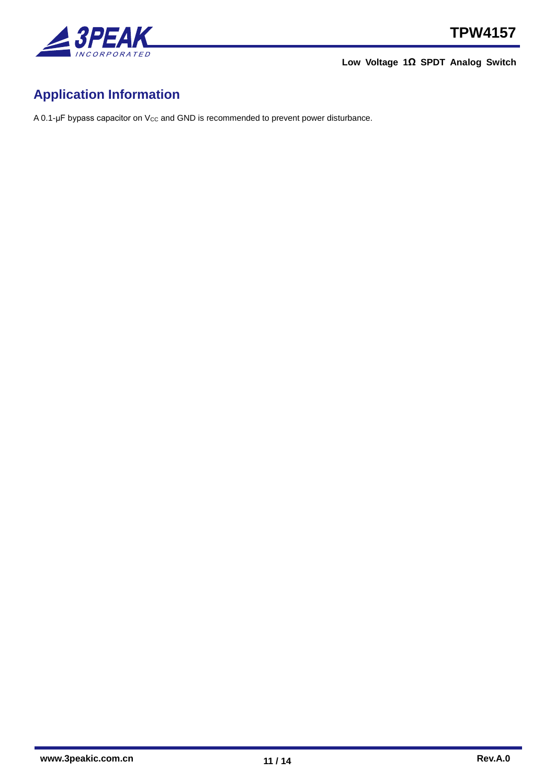

# <span id="page-10-0"></span>**Application Information**

A 0.1-μF bypass capacitor on V<sub>cc</sub> and GND is recommended to prevent power disturbance.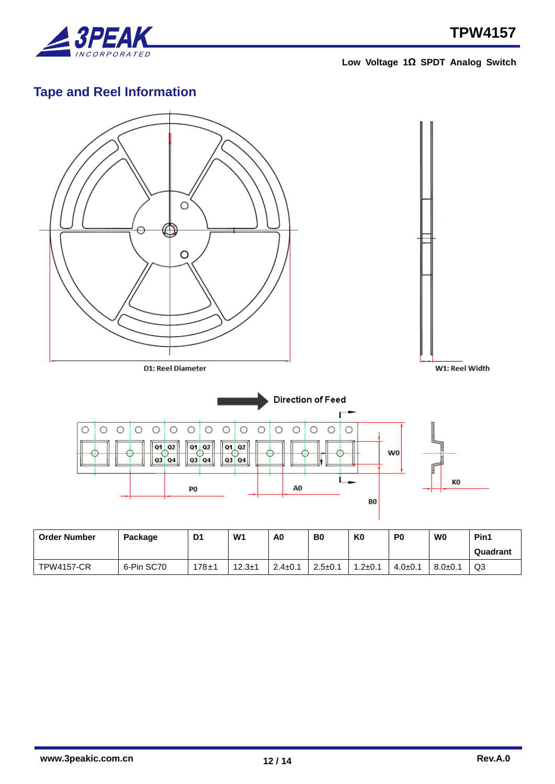

# <span id="page-11-0"></span>**Tape and Reel Information**



| <b>Order Number</b> | Package    | D1        | W <sub>1</sub> | A0            | B0            | K0            | P0           | W0          | Pin1     |
|---------------------|------------|-----------|----------------|---------------|---------------|---------------|--------------|-------------|----------|
|                     |            |           |                |               |               |               |              |             | Quadrant |
| <b>TPW4157-CR</b>   | 6-Pin SC70 | $178 + 1$ | $12.3 + 1$     | $2.4 \pm 0.1$ | $2.5 \pm 0.1$ | $1.2 \pm 0.1$ | $4.0 \pm 0.$ | $8.0 + 0.1$ | Q3       |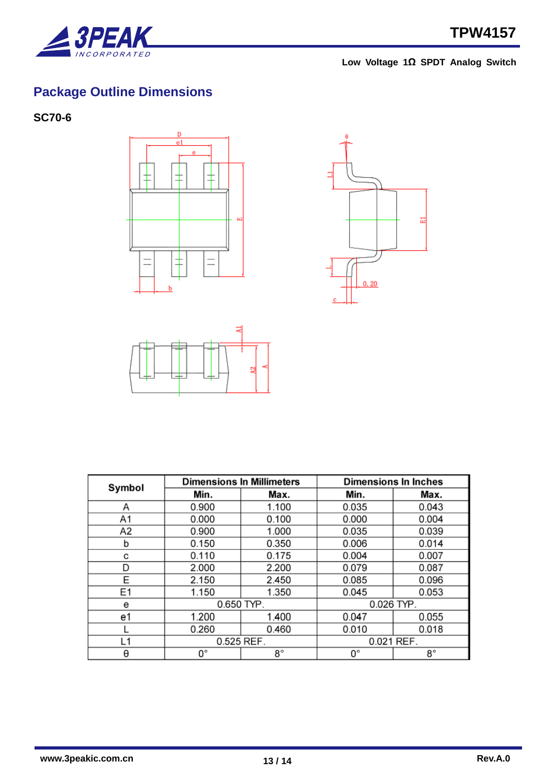

# <span id="page-12-0"></span>**Package Outline Dimensions**

<span id="page-12-1"></span>**SC70-6**







| Symbol         |            | <b>Dimensions In Millimeters</b> | <b>Dimensions In Inches</b> |       |  |
|----------------|------------|----------------------------------|-----------------------------|-------|--|
|                | Min.       | Max.                             | Min.                        | Max.  |  |
| Α              | 0.900      | 1.100                            | 0.035                       | 0.043 |  |
| A1             | 0.000      | 0.100                            | 0.000                       | 0.004 |  |
| A2             | 0.900      | 1.000                            | 0.035                       | 0.039 |  |
| b              | 0.150      | 0.350                            | 0.006                       | 0.014 |  |
| с              | 0.110      | 0.175                            | 0.004                       | 0.007 |  |
| D              | 2.000      | 2.200                            | 0.079                       | 0.087 |  |
| E              | 2.150      | 2.450                            | 0.085                       | 0.096 |  |
| E <sub>1</sub> | 1.150      | 1.350                            | 0.045                       | 0.053 |  |
| е              |            | $0.650$ TYP.                     | 0.026 TYP.                  |       |  |
| e1             | 1.200      | 1.400                            | 0.047                       | 0.055 |  |
|                | 0.260      | 0.460                            | 0.010                       | 0.018 |  |
| L1             | 0.525 REF. |                                  | 0.021 REF.                  |       |  |
| θ              | 0°         | 8°                               | О°                          | 8°    |  |